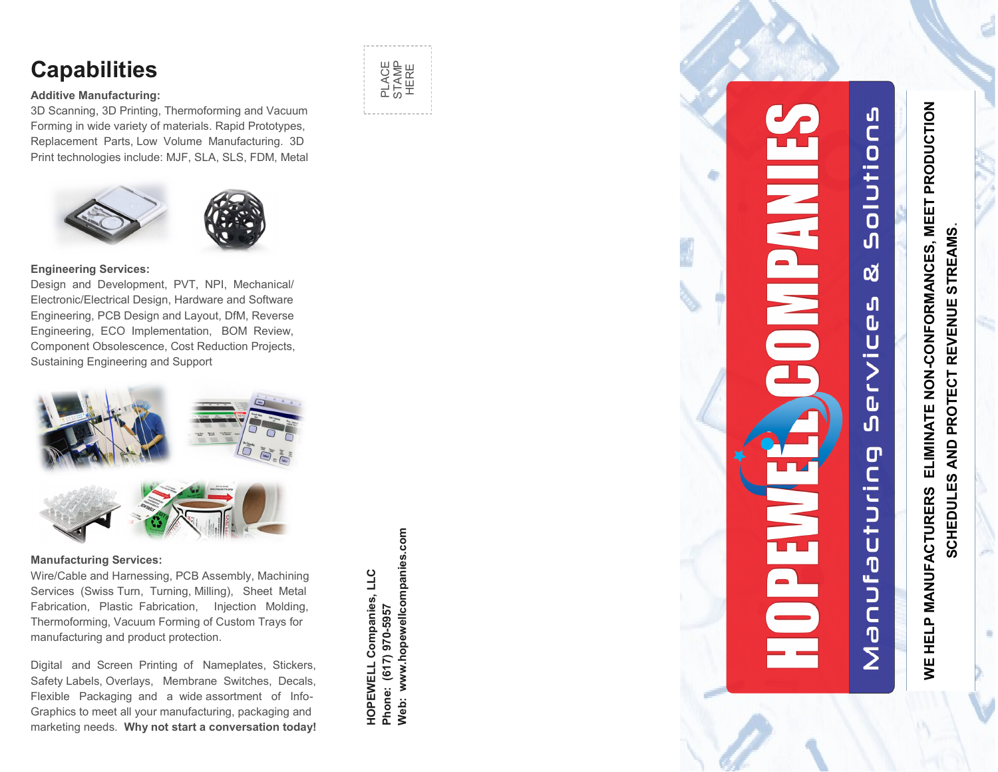# **Capabilities**

#### **Additive Manufacturing:**

3D Scanning, 3D Printing, Thermoforming and Vacuum Forming in wide variety of materials. Rapid Prototypes, Replacement Parts, Low Volume Manufacturing. 3D Print technologies include: MJF, SLA, SLS, FDM, Metal





#### **Engineering Services:**

Design and Development, PVT, NPI, Mechanical/ Electronic/Electrical Design, Hardware and Software Engineering, PCB Design and Layout, DfM, Reverse Engineering, ECO Implementation, BOM Review, Component Obsolescence, Cost Reduction Projects, Sustaining Engineering and Support



### **Manufacturing Services:**

Wire/Cable and Harnessing, PCB Assembly, Machining Services (Swiss Turn, Turning, Milling), Sheet Metal Fabrication, Plastic Fabrication, Injection Molding, Thermoforming, Vacuum Forming of Custom Trays for manufacturing and product protection.

Digital and Screen Printing of Nameplates, Stickers, Safety Labels, Overlays, Membrane Switches, Decals, Flexible Packaging and a wide assortment of Info - Graphics to meet all your manufacturing, packaging and marketing needs. **Why not start a conversation today!**

Web: www.hopewellcompanies.com **Web: www.hopewellcompanies.com HOPEWELL Companies, LLC HOPEWELL Companies, LLC** Phone: (617) 970-5957 **Phone: (617) 970-5957**

PLACE STAMP HERE



**WE HELP MANUFACTURERS ELIMINATE NON-CONFORMANCES, MEET PRODUCTION**  ELIMINATE NON-CONFORMANCES, MEET PRODUCTION **SCHEDULES AND PROTECT REVENUE STREAMS.** AND PROTECT REVENUE STREAMS **SCHEDULES** WE HELP MANUFACTURERS